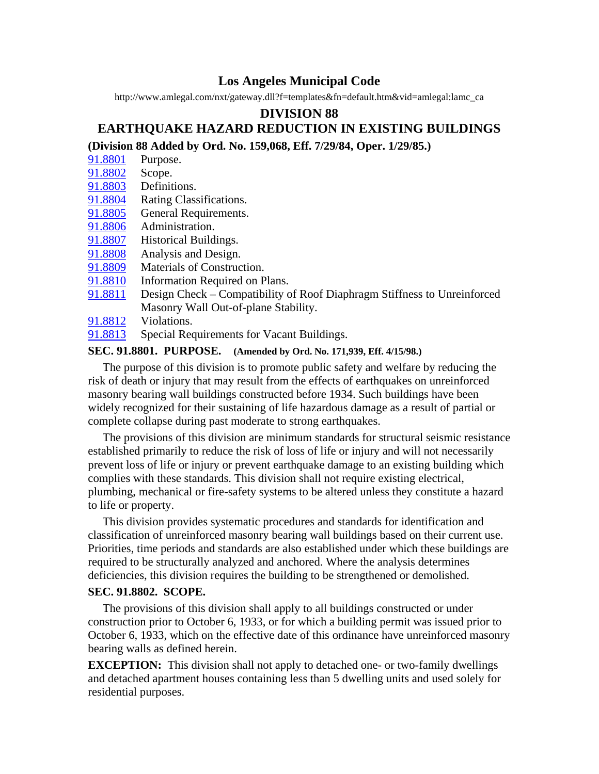# **Los Angeles Municipal Code**

http://www.amlegal.com/nxt/gateway.dll?f=templates&fn=default.htm&vid=amlegal:lamc\_ca

### **DIVISION 88**

# **EARTHQUAKE HAZARD REDUCTION IN EXISTING BUILDINGS**

# **(Division 88 Added by Ord. No. 159,068, Eff. 7/29/84, Oper. 1/29/85.)**

- 91.8801 Purpose.
- 91.8802 Scope.
- 91.8803 Definitions.
- 91.8804 Rating Classifications.
- 91.8805 General Requirements.
- 91.8806 Administration.
- 91.8807 Historical Buildings.
- 91.8808 Analysis and Design.
- 91.8809 Materials of Construction.
- 91.8810 Information Required on Plans.
- 91.8811 Design Check Compatibility of Roof Diaphragm Stiffness to Unreinforced Masonry Wall Out-of-plane Stability.
- 91.8812 Violations.
- 91.8813 Special Requirements for Vacant Buildings.

### **SEC. 91.8801. PURPOSE. (Amended by Ord. No. 171,939, Eff. 4/15/98.)**

 The purpose of this division is to promote public safety and welfare by reducing the risk of death or injury that may result from the effects of earthquakes on unreinforced masonry bearing wall buildings constructed before 1934. Such buildings have been widely recognized for their sustaining of life hazardous damage as a result of partial or complete collapse during past moderate to strong earthquakes.

 The provisions of this division are minimum standards for structural seismic resistance established primarily to reduce the risk of loss of life or injury and will not necessarily prevent loss of life or injury or prevent earthquake damage to an existing building which complies with these standards. This division shall not require existing electrical, plumbing, mechanical or fire-safety systems to be altered unless they constitute a hazard to life or property.

 This division provides systematic procedures and standards for identification and classification of unreinforced masonry bearing wall buildings based on their current use. Priorities, time periods and standards are also established under which these buildings are required to be structurally analyzed and anchored. Where the analysis determines deficiencies, this division requires the building to be strengthened or demolished.

#### **SEC. 91.8802. SCOPE.**

 The provisions of this division shall apply to all buildings constructed or under construction prior to October 6, 1933, or for which a building permit was issued prior to October 6, 1933, which on the effective date of this ordinance have unreinforced masonry bearing walls as defined herein.

**EXCEPTION:** This division shall not apply to detached one- or two-family dwellings and detached apartment houses containing less than 5 dwelling units and used solely for residential purposes.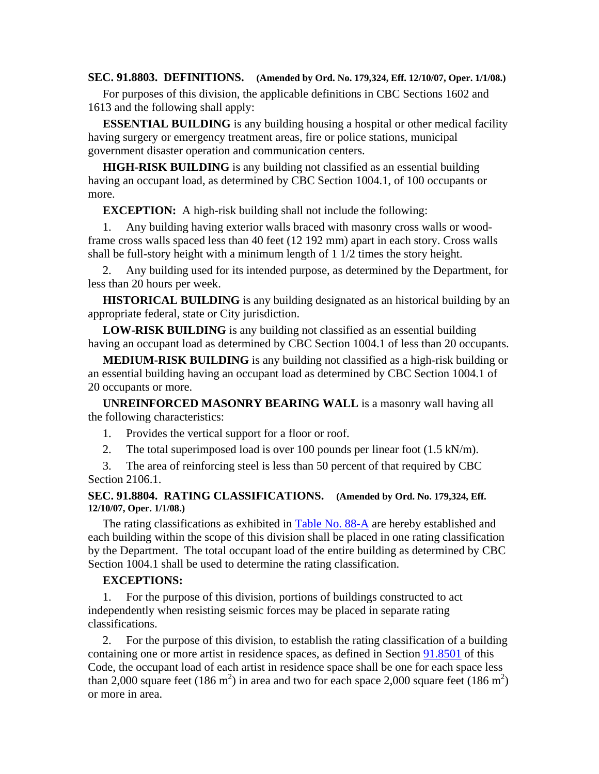**SEC. 91.8803. DEFINITIONS. (Amended by Ord. No. 179,324, Eff. 12/10/07, Oper. 1/1/08.)** 

 For purposes of this division, the applicable definitions in CBC Sections 1602 and 1613 and the following shall apply:

 **ESSENTIAL BUILDING** is any building housing a hospital or other medical facility having surgery or emergency treatment areas, fire or police stations, municipal government disaster operation and communication centers.

 **HIGH-RISK BUILDING** is any building not classified as an essential building having an occupant load, as determined by CBC Section 1004.1, of 100 occupants or more.

**EXCEPTION:** A high-risk building shall not include the following:

 1. Any building having exterior walls braced with masonry cross walls or woodframe cross walls spaced less than 40 feet (12 192 mm) apart in each story. Cross walls shall be full-story height with a minimum length of 1 1/2 times the story height.

 2. Any building used for its intended purpose, as determined by the Department, for less than 20 hours per week.

 **HISTORICAL BUILDING** is any building designated as an historical building by an appropriate federal, state or City jurisdiction.

 **LOW-RISK BUILDING** is any building not classified as an essential building having an occupant load as determined by CBC Section 1004.1 of less than 20 occupants.

 **MEDIUM-RISK BUILDING** is any building not classified as a high-risk building or an essential building having an occupant load as determined by CBC Section 1004.1 of 20 occupants or more.

 **UNREINFORCED MASONRY BEARING WALL** is a masonry wall having all the following characteristics:

- 1. Provides the vertical support for a floor or roof.
- 2. The total superimposed load is over 100 pounds per linear foot (1.5 kN/m).

 3. The area of reinforcing steel is less than 50 percent of that required by CBC Section 2106.1.

#### **SEC. 91.8804. RATING CLASSIFICATIONS. (Amended by Ord. No. 179,324, Eff. 12/10/07, Oper. 1/1/08.)**

 The rating classifications as exhibited in Table No. 88-A are hereby established and each building within the scope of this division shall be placed in one rating classification by the Department. The total occupant load of the entire building as determined by CBC Section 1004.1 shall be used to determine the rating classification.

#### **EXCEPTIONS:**

 1. For the purpose of this division, portions of buildings constructed to act independently when resisting seismic forces may be placed in separate rating classifications.

 2. For the purpose of this division, to establish the rating classification of a building containing one or more artist in residence spaces, as defined in Section 91.8501 of this Code, the occupant load of each artist in residence space shall be one for each space less than 2,000 square feet (186 m<sup>2</sup>) in area and two for each space 2,000 square feet (186 m<sup>2</sup>) or more in area.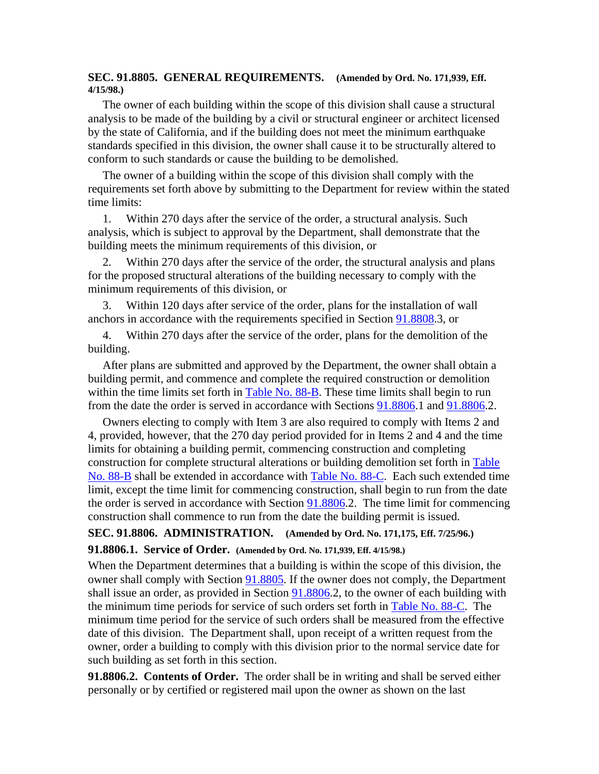#### **SEC. 91.8805. GENERAL REQUIREMENTS. (Amended by Ord. No. 171,939, Eff. 4/15/98.)**

 The owner of each building within the scope of this division shall cause a structural analysis to be made of the building by a civil or structural engineer or architect licensed by the state of California, and if the building does not meet the minimum earthquake standards specified in this division, the owner shall cause it to be structurally altered to conform to such standards or cause the building to be demolished.

 The owner of a building within the scope of this division shall comply with the requirements set forth above by submitting to the Department for review within the stated time limits:

 1. Within 270 days after the service of the order, a structural analysis. Such analysis, which is subject to approval by the Department, shall demonstrate that the building meets the minimum requirements of this division, or

 2. Within 270 days after the service of the order, the structural analysis and plans for the proposed structural alterations of the building necessary to comply with the minimum requirements of this division, or

 3. Within 120 days after service of the order, plans for the installation of wall anchors in accordance with the requirements specified in Section 91.8808.3, or

 4. Within 270 days after the service of the order, plans for the demolition of the building.

 After plans are submitted and approved by the Department, the owner shall obtain a building permit, and commence and complete the required construction or demolition within the time limits set forth in Table No. 88-B. These time limits shall begin to run from the date the order is served in accordance with Sections 91.8806.1 and 91.8806.2.

 Owners electing to comply with Item 3 are also required to comply with Items 2 and 4, provided, however, that the 270 day period provided for in Items 2 and 4 and the time limits for obtaining a building permit, commencing construction and completing construction for complete structural alterations or building demolition set forth in Table No. 88-B shall be extended in accordance with Table No. 88-C. Each such extended time limit, except the time limit for commencing construction, shall begin to run from the date the order is served in accordance with Section 91.8806.2. The time limit for commencing construction shall commence to run from the date the building permit is issued.

# **SEC. 91.8806. ADMINISTRATION. (Amended by Ord. No. 171,175, Eff. 7/25/96.)**

**91.8806.1. Service of Order. (Amended by Ord. No. 171,939, Eff. 4/15/98.)** 

When the Department determines that a building is within the scope of this division, the owner shall comply with Section 91.8805. If the owner does not comply, the Department shall issue an order, as provided in Section 91.8806.2, to the owner of each building with the minimum time periods for service of such orders set forth in Table No. 88-C. The minimum time period for the service of such orders shall be measured from the effective date of this division. The Department shall, upon receipt of a written request from the owner, order a building to comply with this division prior to the normal service date for such building as set forth in this section.

**91.8806.2. Contents of Order.** The order shall be in writing and shall be served either personally or by certified or registered mail upon the owner as shown on the last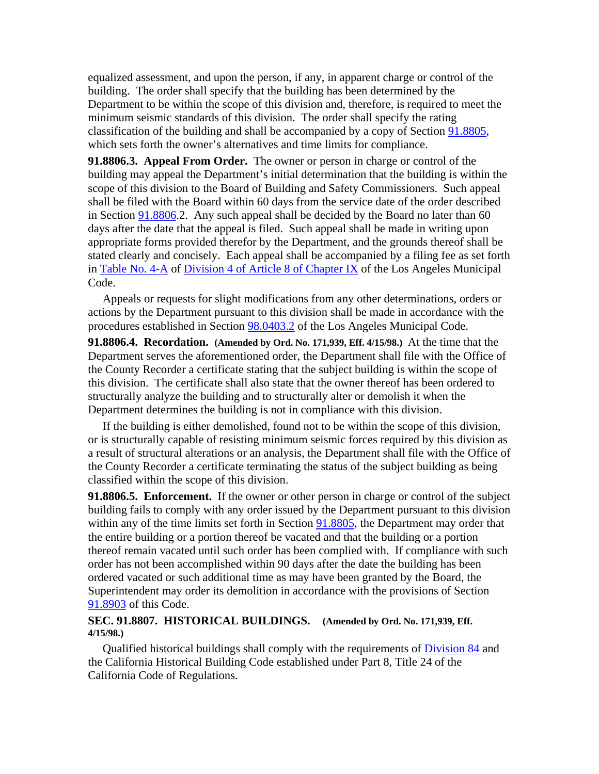equalized assessment, and upon the person, if any, in apparent charge or control of the building. The order shall specify that the building has been determined by the Department to be within the scope of this division and, therefore, is required to meet the minimum seismic standards of this division. The order shall specify the rating classification of the building and shall be accompanied by a copy of Section 91.8805, which sets forth the owner's alternatives and time limits for compliance.

**91.8806.3. Appeal From Order.** The owner or person in charge or control of the building may appeal the Department's initial determination that the building is within the scope of this division to the Board of Building and Safety Commissioners. Such appeal shall be filed with the Board within 60 days from the service date of the order described in Section 91.8806.2. Any such appeal shall be decided by the Board no later than 60 days after the date that the appeal is filed. Such appeal shall be made in writing upon appropriate forms provided therefor by the Department, and the grounds thereof shall be stated clearly and concisely. Each appeal shall be accompanied by a filing fee as set forth in Table No. 4-A of Division 4 of Article 8 of Chapter IX of the Los Angeles Municipal Code.

 Appeals or requests for slight modifications from any other determinations, orders or actions by the Department pursuant to this division shall be made in accordance with the procedures established in Section 98.0403.2 of the Los Angeles Municipal Code.

**91.8806.4. Recordation. (Amended by Ord. No. 171,939, Eff. 4/15/98.)** At the time that the Department serves the aforementioned order, the Department shall file with the Office of the County Recorder a certificate stating that the subject building is within the scope of this division. The certificate shall also state that the owner thereof has been ordered to structurally analyze the building and to structurally alter or demolish it when the Department determines the building is not in compliance with this division.

 If the building is either demolished, found not to be within the scope of this division, or is structurally capable of resisting minimum seismic forces required by this division as a result of structural alterations or an analysis, the Department shall file with the Office of the County Recorder a certificate terminating the status of the subject building as being classified within the scope of this division.

**91.8806.5. Enforcement.** If the owner or other person in charge or control of the subject building fails to comply with any order issued by the Department pursuant to this division within any of the time limits set forth in Section 91.8805, the Department may order that the entire building or a portion thereof be vacated and that the building or a portion thereof remain vacated until such order has been complied with. If compliance with such order has not been accomplished within 90 days after the date the building has been ordered vacated or such additional time as may have been granted by the Board, the Superintendent may order its demolition in accordance with the provisions of Section 91.8903 of this Code.

#### **SEC. 91.8807. HISTORICAL BUILDINGS. (Amended by Ord. No. 171,939, Eff. 4/15/98.)**

 Qualified historical buildings shall comply with the requirements of Division 84 and the California Historical Building Code established under Part 8, Title 24 of the California Code of Regulations.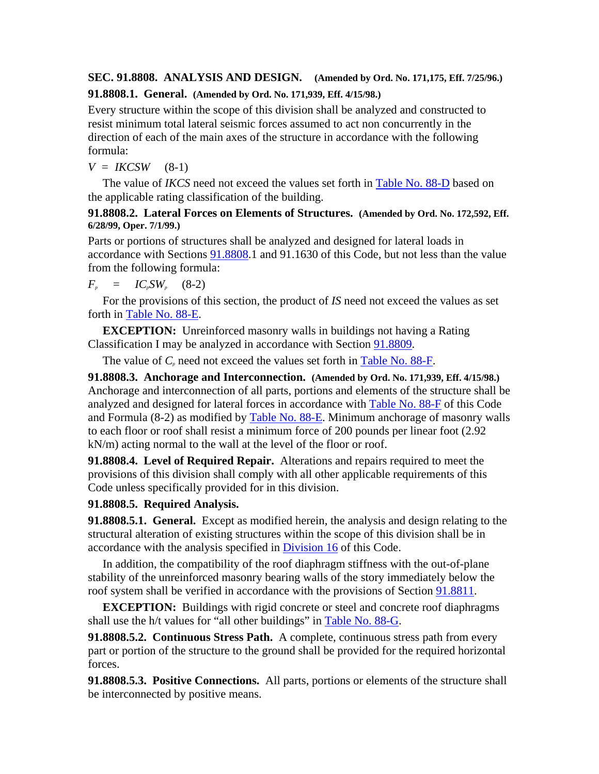# **SEC. 91.8808. ANALYSIS AND DESIGN. (Amended by Ord. No. 171,175, Eff. 7/25/96.)**

### **91.8808.1. General. (Amended by Ord. No. 171,939, Eff. 4/15/98.)**

Every structure within the scope of this division shall be analyzed and constructed to resist minimum total lateral seismic forces assumed to act non concurrently in the direction of each of the main axes of the structure in accordance with the following formula:

 $V = IKCSW$  (8-1)

 The value of *IKCS* need not exceed the values set forth in Table No. 88-D based on the applicable rating classification of the building.

### **91.8808.2. Lateral Forces on Elements of Structures. (Amended by Ord. No. 172,592, Eff. 6/28/99, Oper. 7/1/99.)**

Parts or portions of structures shall be analyzed and designed for lateral loads in accordance with Sections 91.8808.1 and 91.1630 of this Code, but not less than the value from the following formula:

 $F_p = IC_pSW_p (8-2)$ 

 For the provisions of this section, the product of *IS* need not exceed the values as set forth in Table No. 88-E.

**EXCEPTION:** Unreinforced masonry walls in buildings not having a Rating Classification I may be analyzed in accordance with Section 91.8809.

The value of  $C_p$  need not exceed the values set forth in Table No. 88-F.

**91.8808.3. Anchorage and Interconnection. (Amended by Ord. No. 171,939, Eff. 4/15/98.)** Anchorage and interconnection of all parts, portions and elements of the structure shall be analyzed and designed for lateral forces in accordance with Table No. 88-F of this Code and Formula (8-2) as modified by Table No. 88-E. Minimum anchorage of masonry walls to each floor or roof shall resist a minimum force of 200 pounds per linear foot (2.92 kN/m) acting normal to the wall at the level of the floor or roof.

**91.8808.4. Level of Required Repair.** Alterations and repairs required to meet the provisions of this division shall comply with all other applicable requirements of this Code unless specifically provided for in this division.

# **91.8808.5. Required Analysis.**

**91.8808.5.1. General.** Except as modified herein, the analysis and design relating to the structural alteration of existing structures within the scope of this division shall be in accordance with the analysis specified in Division 16 of this Code.

 In addition, the compatibility of the roof diaphragm stiffness with the out-of-plane stability of the unreinforced masonry bearing walls of the story immediately below the roof system shall be verified in accordance with the provisions of Section 91.8811.

**EXCEPTION:** Buildings with rigid concrete or steel and concrete roof diaphragms shall use the h/t values for "all other buildings" in Table No. 88-G.

**91.8808.5.2. Continuous Stress Path.** A complete, continuous stress path from every part or portion of the structure to the ground shall be provided for the required horizontal forces.

**91.8808.5.3. Positive Connections.** All parts, portions or elements of the structure shall be interconnected by positive means.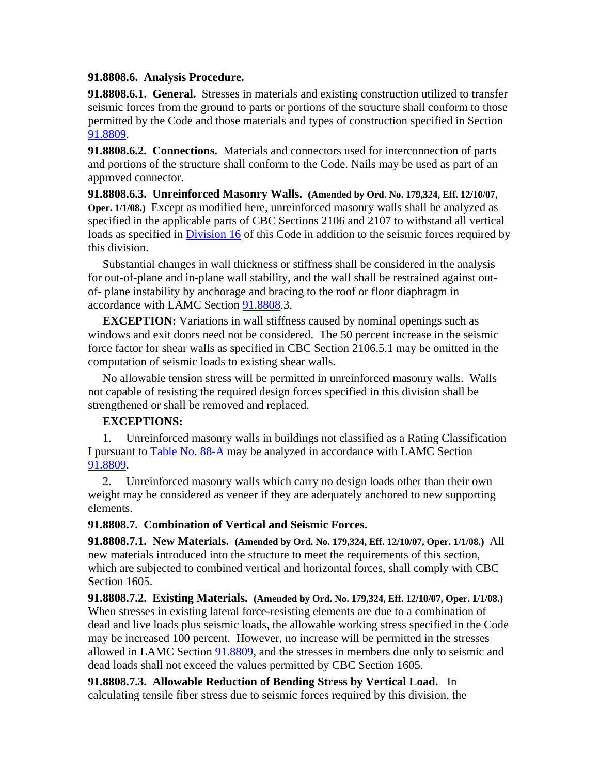#### **91.8808.6. Analysis Procedure.**

**91.8808.6.1. General.** Stresses in materials and existing construction utilized to transfer seismic forces from the ground to parts or portions of the structure shall conform to those permitted by the Code and those materials and types of construction specified in Section 91.8809.

**91.8808.6.2. Connections.** Materials and connectors used for interconnection of parts and portions of the structure shall conform to the Code. Nails may be used as part of an approved connector.

**91.8808.6.3. Unreinforced Masonry Walls. (Amended by Ord. No. 179,324, Eff. 12/10/07, Oper. 1/1/08.)** Except as modified here, unreinforced masonry walls shall be analyzed as specified in the applicable parts of CBC Sections 2106 and 2107 to withstand all vertical loads as specified in Division 16 of this Code in addition to the seismic forces required by this division.

 Substantial changes in wall thickness or stiffness shall be considered in the analysis for out-of-plane and in-plane wall stability, and the wall shall be restrained against outof- plane instability by anchorage and bracing to the roof or floor diaphragm in accordance with LAMC Section 91.8808.3.

**EXCEPTION:** Variations in wall stiffness caused by nominal openings such as windows and exit doors need not be considered. The 50 percent increase in the seismic force factor for shear walls as specified in CBC Section 2106.5.1 may be omitted in the computation of seismic loads to existing shear walls.

 No allowable tension stress will be permitted in unreinforced masonry walls. Walls not capable of resisting the required design forces specified in this division shall be strengthened or shall be removed and replaced.

### **EXCEPTIONS:**

 1. Unreinforced masonry walls in buildings not classified as a Rating Classification I pursuant to **Table No. 88-A** may be analyzed in accordance with LAMC Section 91.8809.

 2. Unreinforced masonry walls which carry no design loads other than their own weight may be considered as veneer if they are adequately anchored to new supporting elements.

### **91.8808.7. Combination of Vertical and Seismic Forces.**

**91.8808.7.1. New Materials. (Amended by Ord. No. 179,324, Eff. 12/10/07, Oper. 1/1/08.)** All new materials introduced into the structure to meet the requirements of this section, which are subjected to combined vertical and horizontal forces, shall comply with CBC Section 1605.

**91.8808.7.2. Existing Materials. (Amended by Ord. No. 179,324, Eff. 12/10/07, Oper. 1/1/08.)** When stresses in existing lateral force-resisting elements are due to a combination of dead and live loads plus seismic loads, the allowable working stress specified in the Code may be increased 100 percent. However, no increase will be permitted in the stresses allowed in LAMC Section 91.8809, and the stresses in members due only to seismic and dead loads shall not exceed the values permitted by CBC Section 1605.

**91.8808.7.3. Allowable Reduction of Bending Stress by Vertical Load.** In calculating tensile fiber stress due to seismic forces required by this division, the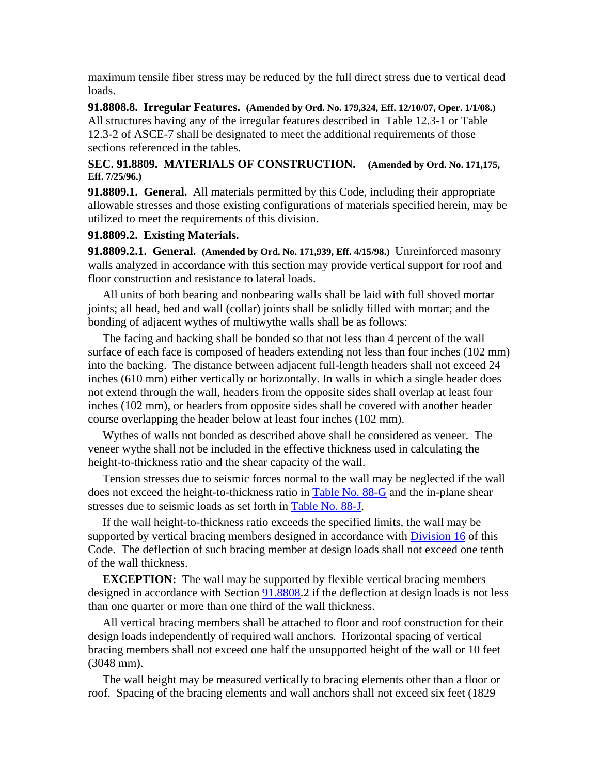maximum tensile fiber stress may be reduced by the full direct stress due to vertical dead loads.

**91.8808.8. Irregular Features. (Amended by Ord. No. 179,324, Eff. 12/10/07, Oper. 1/1/08.)** All structures having any of the irregular features described in Table 12.3-1 or Table 12.3-2 of ASCE-7 shall be designated to meet the additional requirements of those sections referenced in the tables.

### **SEC. 91.8809. MATERIALS OF CONSTRUCTION. (Amended by Ord. No. 171,175, Eff. 7/25/96.)**

**91.8809.1. General.** All materials permitted by this Code, including their appropriate allowable stresses and those existing configurations of materials specified herein, may be utilized to meet the requirements of this division.

#### **91.8809.2. Existing Materials.**

**91.8809.2.1. General. (Amended by Ord. No. 171,939, Eff. 4/15/98.)** Unreinforced masonry walls analyzed in accordance with this section may provide vertical support for roof and floor construction and resistance to lateral loads.

 All units of both bearing and nonbearing walls shall be laid with full shoved mortar joints; all head, bed and wall (collar) joints shall be solidly filled with mortar; and the bonding of adjacent wythes of multiwythe walls shall be as follows:

 The facing and backing shall be bonded so that not less than 4 percent of the wall surface of each face is composed of headers extending not less than four inches (102 mm) into the backing. The distance between adjacent full-length headers shall not exceed 24 inches (610 mm) either vertically or horizontally. In walls in which a single header does not extend through the wall, headers from the opposite sides shall overlap at least four inches (102 mm), or headers from opposite sides shall be covered with another header course overlapping the header below at least four inches (102 mm).

 Wythes of walls not bonded as described above shall be considered as veneer. The veneer wythe shall not be included in the effective thickness used in calculating the height-to-thickness ratio and the shear capacity of the wall.

 Tension stresses due to seismic forces normal to the wall may be neglected if the wall does not exceed the height-to-thickness ratio in Table No. 88-G and the in-plane shear stresses due to seismic loads as set forth in Table No. 88-J.

 If the wall height-to-thickness ratio exceeds the specified limits, the wall may be supported by vertical bracing members designed in accordance with Division 16 of this Code. The deflection of such bracing member at design loads shall not exceed one tenth of the wall thickness.

**EXCEPTION:** The wall may be supported by flexible vertical bracing members designed in accordance with Section 91.8808.2 if the deflection at design loads is not less than one quarter or more than one third of the wall thickness.

 All vertical bracing members shall be attached to floor and roof construction for their design loads independently of required wall anchors. Horizontal spacing of vertical bracing members shall not exceed one half the unsupported height of the wall or 10 feet (3048 mm).

 The wall height may be measured vertically to bracing elements other than a floor or roof. Spacing of the bracing elements and wall anchors shall not exceed six feet (1829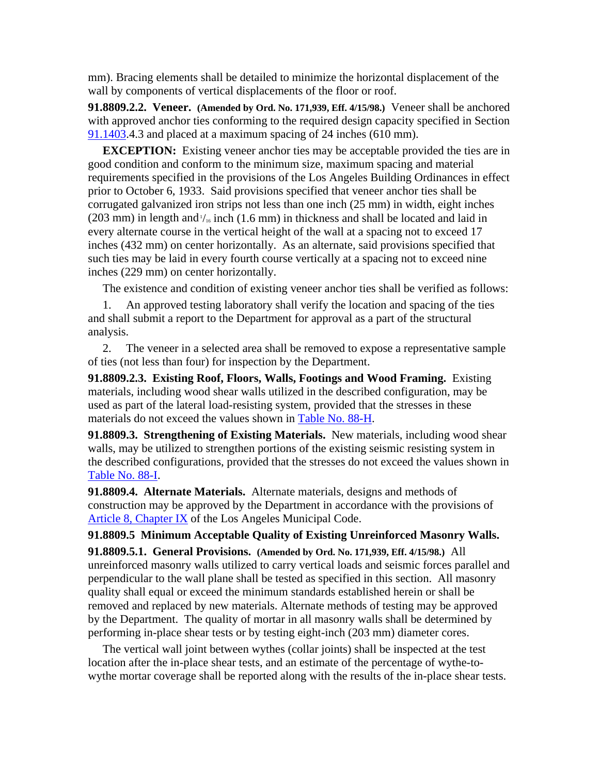mm). Bracing elements shall be detailed to minimize the horizontal displacement of the wall by components of vertical displacements of the floor or roof.

**91.8809.2.2. Veneer. (Amended by Ord. No. 171,939, Eff. 4/15/98.)** Veneer shall be anchored with approved anchor ties conforming to the required design capacity specified in Section 91.1403.4.3 and placed at a maximum spacing of 24 inches (610 mm).

**EXCEPTION:** Existing veneer anchor ties may be acceptable provided the ties are in good condition and conform to the minimum size, maximum spacing and material requirements specified in the provisions of the Los Angeles Building Ordinances in effect prior to October 6, 1933. Said provisions specified that veneer anchor ties shall be corrugated galvanized iron strips not less than one inch (25 mm) in width, eight inches (203 mm) in length and  $\frac{1}{16}$  inch (1.6 mm) in thickness and shall be located and laid in every alternate course in the vertical height of the wall at a spacing not to exceed 17 inches (432 mm) on center horizontally. As an alternate, said provisions specified that such ties may be laid in every fourth course vertically at a spacing not to exceed nine inches (229 mm) on center horizontally.

The existence and condition of existing veneer anchor ties shall be verified as follows:

 1. An approved testing laboratory shall verify the location and spacing of the ties and shall submit a report to the Department for approval as a part of the structural analysis.

 2. The veneer in a selected area shall be removed to expose a representative sample of ties (not less than four) for inspection by the Department.

**91.8809.2.3. Existing Roof, Floors, Walls, Footings and Wood Framing.** Existing materials, including wood shear walls utilized in the described configuration, may be used as part of the lateral load-resisting system, provided that the stresses in these materials do not exceed the values shown in Table No. 88-H.

**91.8809.3. Strengthening of Existing Materials.** New materials, including wood shear walls, may be utilized to strengthen portions of the existing seismic resisting system in the described configurations, provided that the stresses do not exceed the values shown in Table No. 88-I.

**91.8809.4. Alternate Materials.** Alternate materials, designs and methods of construction may be approved by the Department in accordance with the provisions of Article 8, Chapter IX of the Los Angeles Municipal Code.

#### **91.8809.5 Minimum Acceptable Quality of Existing Unreinforced Masonry Walls.**

**91.8809.5.1. General Provisions. (Amended by Ord. No. 171,939, Eff. 4/15/98.)** All unreinforced masonry walls utilized to carry vertical loads and seismic forces parallel and perpendicular to the wall plane shall be tested as specified in this section. All masonry quality shall equal or exceed the minimum standards established herein or shall be removed and replaced by new materials. Alternate methods of testing may be approved by the Department. The quality of mortar in all masonry walls shall be determined by performing in-place shear tests or by testing eight-inch (203 mm) diameter cores.

 The vertical wall joint between wythes (collar joints) shall be inspected at the test location after the in-place shear tests, and an estimate of the percentage of wythe-towythe mortar coverage shall be reported along with the results of the in-place shear tests.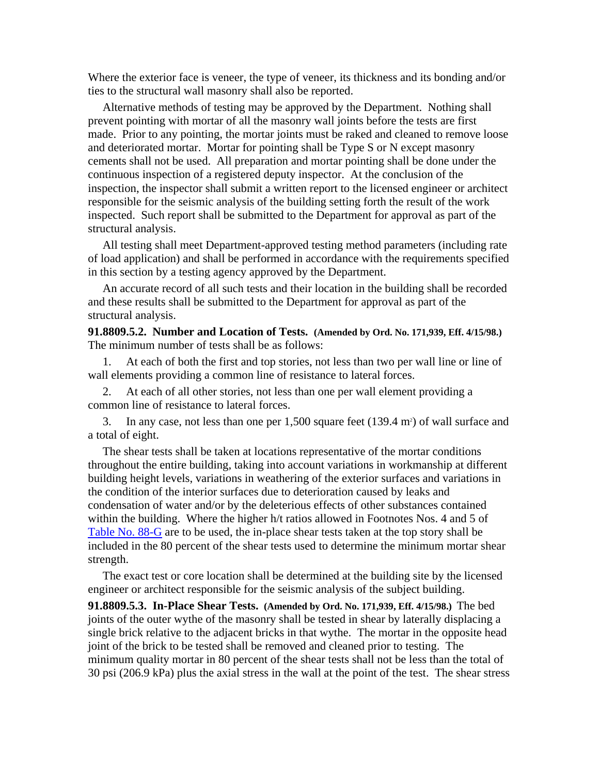Where the exterior face is veneer, the type of veneer, its thickness and its bonding and/or ties to the structural wall masonry shall also be reported.

 Alternative methods of testing may be approved by the Department. Nothing shall prevent pointing with mortar of all the masonry wall joints before the tests are first made. Prior to any pointing, the mortar joints must be raked and cleaned to remove loose and deteriorated mortar. Mortar for pointing shall be Type S or N except masonry cements shall not be used. All preparation and mortar pointing shall be done under the continuous inspection of a registered deputy inspector. At the conclusion of the inspection, the inspector shall submit a written report to the licensed engineer or architect responsible for the seismic analysis of the building setting forth the result of the work inspected. Such report shall be submitted to the Department for approval as part of the structural analysis.

 All testing shall meet Department-approved testing method parameters (including rate of load application) and shall be performed in accordance with the requirements specified in this section by a testing agency approved by the Department.

 An accurate record of all such tests and their location in the building shall be recorded and these results shall be submitted to the Department for approval as part of the structural analysis.

**91.8809.5.2. Number and Location of Tests. (Amended by Ord. No. 171,939, Eff. 4/15/98.)** The minimum number of tests shall be as follows:

 1. At each of both the first and top stories, not less than two per wall line or line of wall elements providing a common line of resistance to lateral forces.

 2. At each of all other stories, not less than one per wall element providing a common line of resistance to lateral forces.

3. In any case, not less than one per 1,500 square feet (139.4 m<sup>2</sup>) of wall surface and a total of eight.

 The shear tests shall be taken at locations representative of the mortar conditions throughout the entire building, taking into account variations in workmanship at different building height levels, variations in weathering of the exterior surfaces and variations in the condition of the interior surfaces due to deterioration caused by leaks and condensation of water and/or by the deleterious effects of other substances contained within the building. Where the higher h/t ratios allowed in Footnotes Nos. 4 and 5 of Table No. 88-G are to be used, the in-place shear tests taken at the top story shall be included in the 80 percent of the shear tests used to determine the minimum mortar shear strength.

 The exact test or core location shall be determined at the building site by the licensed engineer or architect responsible for the seismic analysis of the subject building.

**91.8809.5.3. In-Place Shear Tests. (Amended by Ord. No. 171,939, Eff. 4/15/98.)** The bed joints of the outer wythe of the masonry shall be tested in shear by laterally displacing a single brick relative to the adjacent bricks in that wythe. The mortar in the opposite head joint of the brick to be tested shall be removed and cleaned prior to testing. The minimum quality mortar in 80 percent of the shear tests shall not be less than the total of 30 psi (206.9 kPa) plus the axial stress in the wall at the point of the test. The shear stress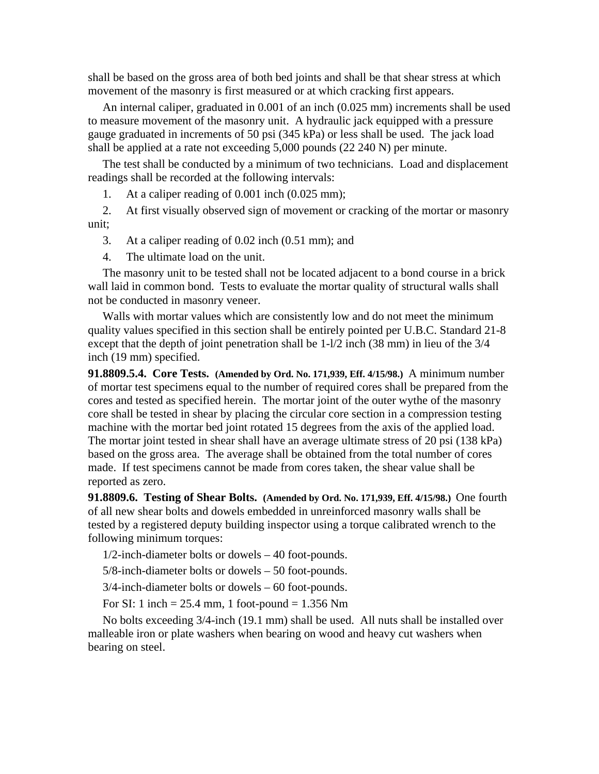shall be based on the gross area of both bed joints and shall be that shear stress at which movement of the masonry is first measured or at which cracking first appears.

 An internal caliper, graduated in 0.001 of an inch (0.025 mm) increments shall be used to measure movement of the masonry unit. A hydraulic jack equipped with a pressure gauge graduated in increments of 50 psi (345 kPa) or less shall be used. The jack load shall be applied at a rate not exceeding 5,000 pounds (22 240 N) per minute.

 The test shall be conducted by a minimum of two technicians. Load and displacement readings shall be recorded at the following intervals:

1. At a caliper reading of 0.001 inch (0.025 mm);

 2. At first visually observed sign of movement or cracking of the mortar or masonry unit;

3. At a caliper reading of 0.02 inch (0.51 mm); and

4. The ultimate load on the unit.

 The masonry unit to be tested shall not be located adjacent to a bond course in a brick wall laid in common bond. Tests to evaluate the mortar quality of structural walls shall not be conducted in masonry veneer.

 Walls with mortar values which are consistently low and do not meet the minimum quality values specified in this section shall be entirely pointed per U.B.C. Standard 21-8 except that the depth of joint penetration shall be 1-l/2 inch (38 mm) in lieu of the 3/4 inch (19 mm) specified.

**91.8809.5.4. Core Tests. (Amended by Ord. No. 171,939, Eff. 4/15/98.)** A minimum number of mortar test specimens equal to the number of required cores shall be prepared from the cores and tested as specified herein. The mortar joint of the outer wythe of the masonry core shall be tested in shear by placing the circular core section in a compression testing machine with the mortar bed joint rotated 15 degrees from the axis of the applied load. The mortar joint tested in shear shall have an average ultimate stress of 20 psi (138 kPa) based on the gross area. The average shall be obtained from the total number of cores made. If test specimens cannot be made from cores taken, the shear value shall be reported as zero.

**91.8809.6. Testing of Shear Bolts. (Amended by Ord. No. 171,939, Eff. 4/15/98.)** One fourth of all new shear bolts and dowels embedded in unreinforced masonry walls shall be tested by a registered deputy building inspector using a torque calibrated wrench to the following minimum torques:

1/2-inch-diameter bolts or dowels – 40 foot-pounds.

5/8-inch-diameter bolts or dowels – 50 foot-pounds.

3/4-inch-diameter bolts or dowels – 60 foot-pounds.

For SI: 1 inch =  $25.4$  mm, 1 foot-pound =  $1.356$  Nm

 No bolts exceeding 3/4-inch (19.1 mm) shall be used. All nuts shall be installed over malleable iron or plate washers when bearing on wood and heavy cut washers when bearing on steel.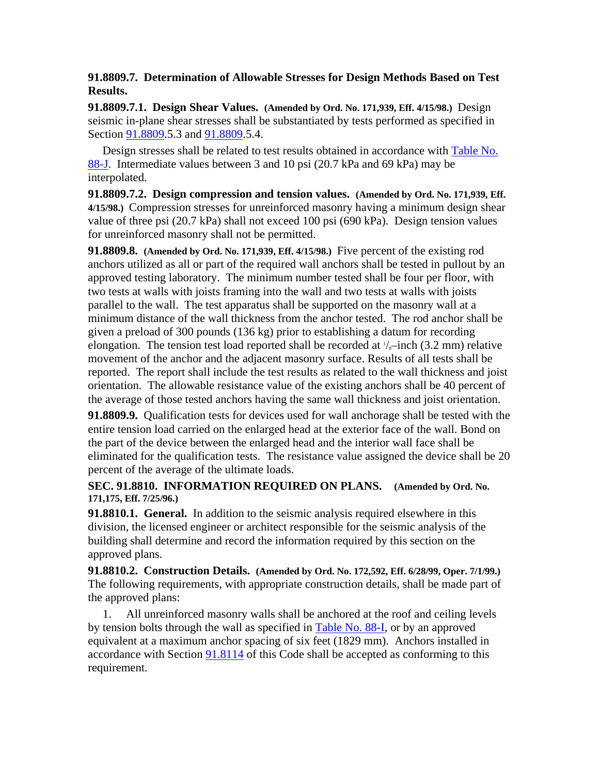### **91.8809.7. Determination of Allowable Stresses for Design Methods Based on Test Results.**

**91.8809.7.1. Design Shear Values. (Amended by Ord. No. 171,939, Eff. 4/15/98.)** Design seismic in-plane shear stresses shall be substantiated by tests performed as specified in Section 91.8809.5.3 and 91.8809.5.4.

 Design stresses shall be related to test results obtained in accordance with Table No. 88-J. Intermediate values between 3 and 10 psi (20.7 kPa and 69 kPa) may be interpolated.

**91.8809.7.2. Design compression and tension values. (Amended by Ord. No. 171,939, Eff. 4/15/98.)** Compression stresses for unreinforced masonry having a minimum design shear value of three psi (20.7 kPa) shall not exceed 100 psi (690 kPa). Design tension values for unreinforced masonry shall not be permitted.

**91.8809.8. (Amended by Ord. No. 171,939, Eff. 4/15/98.)** Five percent of the existing rod anchors utilized as all or part of the required wall anchors shall be tested in pullout by an approved testing laboratory. The minimum number tested shall be four per floor, with two tests at walls with joists framing into the wall and two tests at walls with joists parallel to the wall. The test apparatus shall be supported on the masonry wall at a minimum distance of the wall thickness from the anchor tested. The rod anchor shall be given a preload of 300 pounds (136 kg) prior to establishing a datum for recording elongation. The tension test load reported shall be recorded at  $\frac{1}{s}$ -inch (3.2 mm) relative movement of the anchor and the adjacent masonry surface. Results of all tests shall be reported. The report shall include the test results as related to the wall thickness and joist orientation. The allowable resistance value of the existing anchors shall be 40 percent of the average of those tested anchors having the same wall thickness and joist orientation.

**91.8809.9.** Qualification tests for devices used for wall anchorage shall be tested with the entire tension load carried on the enlarged head at the exterior face of the wall. Bond on the part of the device between the enlarged head and the interior wall face shall be eliminated for the qualification tests. The resistance value assigned the device shall be 20 percent of the average of the ultimate loads.

### **SEC. 91.8810. INFORMATION REQUIRED ON PLANS. (Amended by Ord. No. 171,175, Eff. 7/25/96.)**

**91.8810.1. General.** In addition to the seismic analysis required elsewhere in this division, the licensed engineer or architect responsible for the seismic analysis of the building shall determine and record the information required by this section on the approved plans.

**91.8810.2. Construction Details. (Amended by Ord. No. 172,592, Eff. 6/28/99, Oper. 7/1/99.)** The following requirements, with appropriate construction details, shall be made part of the approved plans:

 1. All unreinforced masonry walls shall be anchored at the roof and ceiling levels by tension bolts through the wall as specified in Table No. 88-I, or by an approved equivalent at a maximum anchor spacing of six feet (1829 mm). Anchors installed in accordance with Section  $91.8114$  of this Code shall be accepted as conforming to this requirement.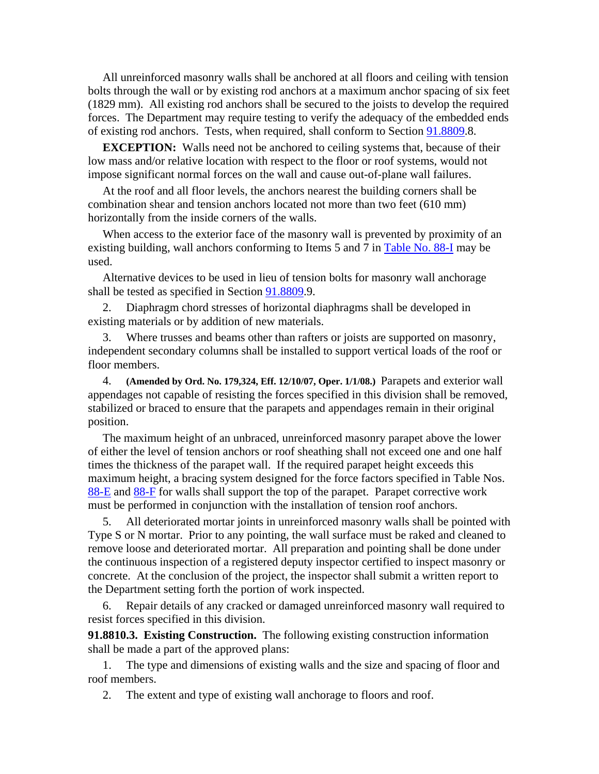All unreinforced masonry walls shall be anchored at all floors and ceiling with tension bolts through the wall or by existing rod anchors at a maximum anchor spacing of six feet (1829 mm). All existing rod anchors shall be secured to the joists to develop the required forces. The Department may require testing to verify the adequacy of the embedded ends of existing rod anchors. Tests, when required, shall conform to Section 91.8809.8.

**EXCEPTION:** Walls need not be anchored to ceiling systems that, because of their low mass and/or relative location with respect to the floor or roof systems, would not impose significant normal forces on the wall and cause out-of-plane wall failures.

 At the roof and all floor levels, the anchors nearest the building corners shall be combination shear and tension anchors located not more than two feet (610 mm) horizontally from the inside corners of the walls.

 When access to the exterior face of the masonry wall is prevented by proximity of an existing building, wall anchors conforming to Items 5 and 7 in Table No. 88-I may be used.

 Alternative devices to be used in lieu of tension bolts for masonry wall anchorage shall be tested as specified in Section 91.8809.9.

 2. Diaphragm chord stresses of horizontal diaphragms shall be developed in existing materials or by addition of new materials.

 3. Where trusses and beams other than rafters or joists are supported on masonry, independent secondary columns shall be installed to support vertical loads of the roof or floor members.

 4. **(Amended by Ord. No. 179,324, Eff. 12/10/07, Oper. 1/1/08.)** Parapets and exterior wall appendages not capable of resisting the forces specified in this division shall be removed, stabilized or braced to ensure that the parapets and appendages remain in their original position.

 The maximum height of an unbraced, unreinforced masonry parapet above the lower of either the level of tension anchors or roof sheathing shall not exceed one and one half times the thickness of the parapet wall. If the required parapet height exceeds this maximum height, a bracing system designed for the force factors specified in Table Nos. 88-E and 88-F for walls shall support the top of the parapet. Parapet corrective work must be performed in conjunction with the installation of tension roof anchors.

 5. All deteriorated mortar joints in unreinforced masonry walls shall be pointed with Type S or N mortar. Prior to any pointing, the wall surface must be raked and cleaned to remove loose and deteriorated mortar. All preparation and pointing shall be done under the continuous inspection of a registered deputy inspector certified to inspect masonry or concrete. At the conclusion of the project, the inspector shall submit a written report to the Department setting forth the portion of work inspected.

 6. Repair details of any cracked or damaged unreinforced masonry wall required to resist forces specified in this division.

**91.8810.3. Existing Construction.** The following existing construction information shall be made a part of the approved plans:

 1. The type and dimensions of existing walls and the size and spacing of floor and roof members.

2. The extent and type of existing wall anchorage to floors and roof.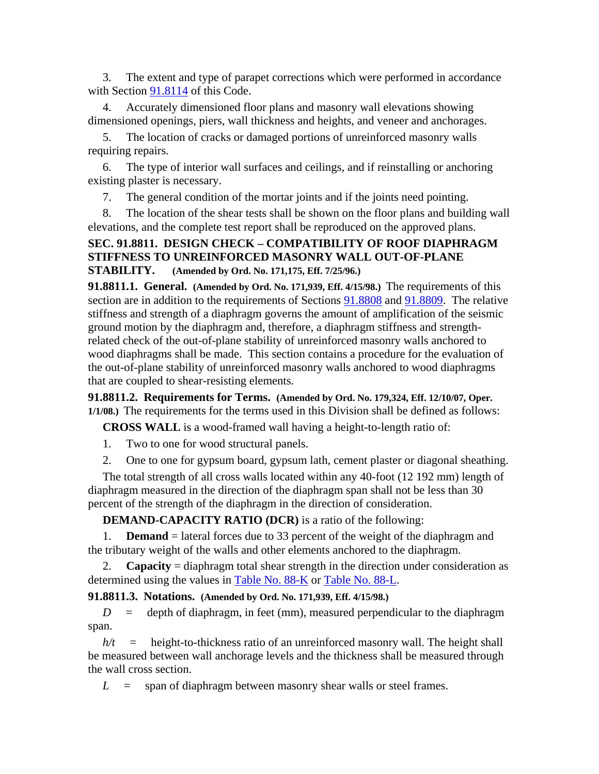3. The extent and type of parapet corrections which were performed in accordance with Section 91.8114 of this Code.

 4. Accurately dimensioned floor plans and masonry wall elevations showing dimensioned openings, piers, wall thickness and heights, and veneer and anchorages.

 5. The location of cracks or damaged portions of unreinforced masonry walls requiring repairs.

 6. The type of interior wall surfaces and ceilings, and if reinstalling or anchoring existing plaster is necessary.

7. The general condition of the mortar joints and if the joints need pointing.

 8. The location of the shear tests shall be shown on the floor plans and building wall elevations, and the complete test report shall be reproduced on the approved plans.

# **SEC. 91.8811. DESIGN CHECK – COMPATIBILITY OF ROOF DIAPHRAGM STIFFNESS TO UNREINFORCED MASONRY WALL OUT-OF-PLANE STABILITY. (Amended by Ord. No. 171,175, Eff. 7/25/96.)**

**91.8811.1. General. (Amended by Ord. No. 171,939, Eff. 4/15/98.)** The requirements of this section are in addition to the requirements of Sections  $91.8808$  and  $91.8809$ . The relative stiffness and strength of a diaphragm governs the amount of amplification of the seismic ground motion by the diaphragm and, therefore, a diaphragm stiffness and strengthrelated check of the out-of-plane stability of unreinforced masonry walls anchored to wood diaphragms shall be made. This section contains a procedure for the evaluation of the out-of-plane stability of unreinforced masonry walls anchored to wood diaphragms that are coupled to shear-resisting elements.

**91.8811.2. Requirements for Terms. (Amended by Ord. No. 179,324, Eff. 12/10/07, Oper. 1/1/08.)** The requirements for the terms used in this Division shall be defined as follows:

**CROSS WALL** is a wood-framed wall having a height-to-length ratio of:

- 1. Two to one for wood structural panels.
- 2. One to one for gypsum board, gypsum lath, cement plaster or diagonal sheathing.

 The total strength of all cross walls located within any 40-foot (12 192 mm) length of diaphragm measured in the direction of the diaphragm span shall not be less than 30 percent of the strength of the diaphragm in the direction of consideration.

**DEMAND-CAPACITY RATIO (DCR)** is a ratio of the following:

 1. **Demand** = lateral forces due to 33 percent of the weight of the diaphragm and the tributary weight of the walls and other elements anchored to the diaphragm.

 2. **Capacity** = diaphragm total shear strength in the direction under consideration as determined using the values in Table No. 88-K or Table No. 88-L.

**91.8811.3. Notations. (Amended by Ord. No. 171,939, Eff. 4/15/98.)**

 $D =$  depth of diaphragm, in feet (mm), measured perpendicular to the diaphragm span.

 *h/t* = height-to-thickness ratio of an unreinforced masonry wall. The height shall be measured between wall anchorage levels and the thickness shall be measured through the wall cross section.

 $L =$  span of diaphragm between masonry shear walls or steel frames.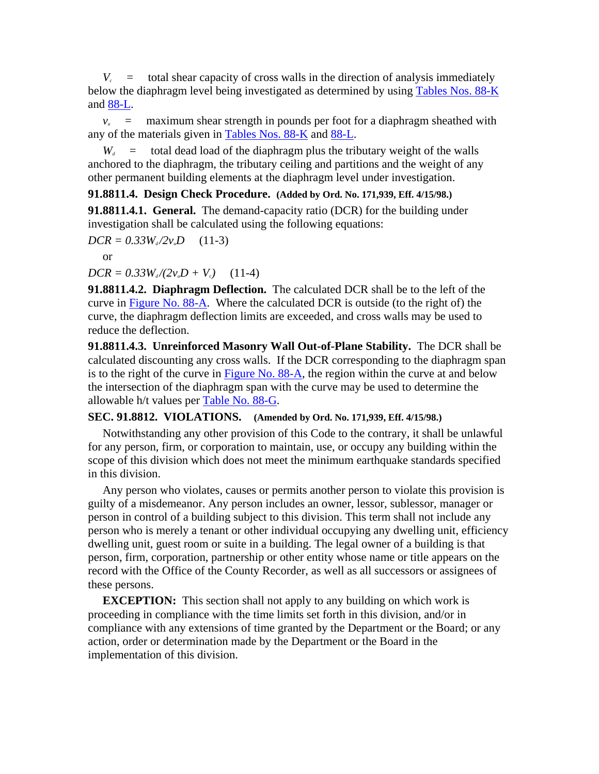$V_c$  = total shear capacity of cross walls in the direction of analysis immediately below the diaphragm level being investigated as determined by using Tables Nos. 88-K and 88-L.

 $v_{u}$  = maximum shear strength in pounds per foot for a diaphragm sheathed with any of the materials given in Tables Nos. 88-K and 88-L.

 $W_d$  = total dead load of the diaphragm plus the tributary weight of the walls anchored to the diaphragm, the tributary ceiling and partitions and the weight of any other permanent building elements at the diaphragm level under investigation.

### **91.8811.4. Design Check Procedure. (Added by Ord. No. 171,939, Eff. 4/15/98.)**

**91.8811.4.1. General.** The demand-capacity ratio (DCR) for the building under investigation shall be calculated using the following equations:

$$
DCR = 0.33 W_{d}/2v_{u}D \qquad (11-3)
$$

or

 $DCR = 0.33W_d/(2v_uD + V_c)$  (11-4)

**91.8811.4.2. Diaphragm Deflection.** The calculated DCR shall be to the left of the curve in Figure No. 88-A. Where the calculated DCR is outside (to the right of) the curve, the diaphragm deflection limits are exceeded, and cross walls may be used to reduce the deflection.

**91.8811.4.3. Unreinforced Masonry Wall Out-of-Plane Stability.** The DCR shall be calculated discounting any cross walls. If the DCR corresponding to the diaphragm span is to the right of the curve in Figure No. 88-A, the region within the curve at and below the intersection of the diaphragm span with the curve may be used to determine the allowable h/t values per Table No. 88-G.

### **SEC. 91.8812. VIOLATIONS. (Amended by Ord. No. 171,939, Eff. 4/15/98.)**

 Notwithstanding any other provision of this Code to the contrary, it shall be unlawful for any person, firm, or corporation to maintain, use, or occupy any building within the scope of this division which does not meet the minimum earthquake standards specified in this division.

 Any person who violates, causes or permits another person to violate this provision is guilty of a misdemeanor. Any person includes an owner, lessor, sublessor, manager or person in control of a building subject to this division. This term shall not include any person who is merely a tenant or other individual occupying any dwelling unit, efficiency dwelling unit, guest room or suite in a building. The legal owner of a building is that person, firm, corporation, partnership or other entity whose name or title appears on the record with the Office of the County Recorder, as well as all successors or assignees of these persons.

**EXCEPTION:** This section shall not apply to any building on which work is proceeding in compliance with the time limits set forth in this division, and/or in compliance with any extensions of time granted by the Department or the Board; or any action, order or determination made by the Department or the Board in the implementation of this division.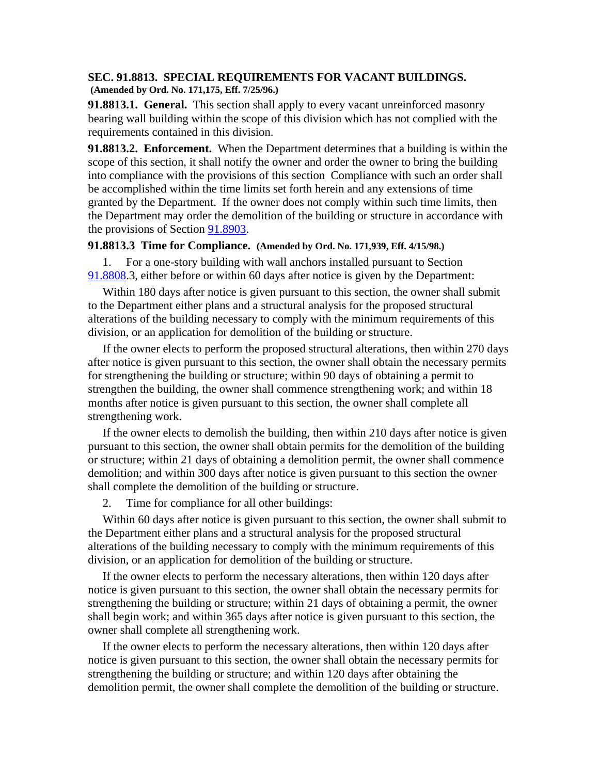#### **SEC. 91.8813. SPECIAL REQUIREMENTS FOR VACANT BUILDINGS. (Amended by Ord. No. 171,175, Eff. 7/25/96.)**

**91.8813.1. General.** This section shall apply to every vacant unreinforced masonry bearing wall building within the scope of this division which has not complied with the requirements contained in this division.

**91.8813.2. Enforcement.** When the Department determines that a building is within the scope of this section, it shall notify the owner and order the owner to bring the building into compliance with the provisions of this section Compliance with such an order shall be accomplished within the time limits set forth herein and any extensions of time granted by the Department. If the owner does not comply within such time limits, then the Department may order the demolition of the building or structure in accordance with the provisions of Section 91.8903.

#### **91.8813.3 Time for Compliance. (Amended by Ord. No. 171,939, Eff. 4/15/98.)**

 1. For a one-story building with wall anchors installed pursuant to Section 91.8808.3, either before or within 60 days after notice is given by the Department:

 Within 180 days after notice is given pursuant to this section, the owner shall submit to the Department either plans and a structural analysis for the proposed structural alterations of the building necessary to comply with the minimum requirements of this division, or an application for demolition of the building or structure.

 If the owner elects to perform the proposed structural alterations, then within 270 days after notice is given pursuant to this section, the owner shall obtain the necessary permits for strengthening the building or structure; within 90 days of obtaining a permit to strengthen the building, the owner shall commence strengthening work; and within 18 months after notice is given pursuant to this section, the owner shall complete all strengthening work.

 If the owner elects to demolish the building, then within 210 days after notice is given pursuant to this section, the owner shall obtain permits for the demolition of the building or structure; within 21 days of obtaining a demolition permit, the owner shall commence demolition; and within 300 days after notice is given pursuant to this section the owner shall complete the demolition of the building or structure.

2. Time for compliance for all other buildings:

 Within 60 days after notice is given pursuant to this section, the owner shall submit to the Department either plans and a structural analysis for the proposed structural alterations of the building necessary to comply with the minimum requirements of this division, or an application for demolition of the building or structure.

 If the owner elects to perform the necessary alterations, then within 120 days after notice is given pursuant to this section, the owner shall obtain the necessary permits for strengthening the building or structure; within 21 days of obtaining a permit, the owner shall begin work; and within 365 days after notice is given pursuant to this section, the owner shall complete all strengthening work.

 If the owner elects to perform the necessary alterations, then within 120 days after notice is given pursuant to this section, the owner shall obtain the necessary permits for strengthening the building or structure; and within 120 days after obtaining the demolition permit, the owner shall complete the demolition of the building or structure.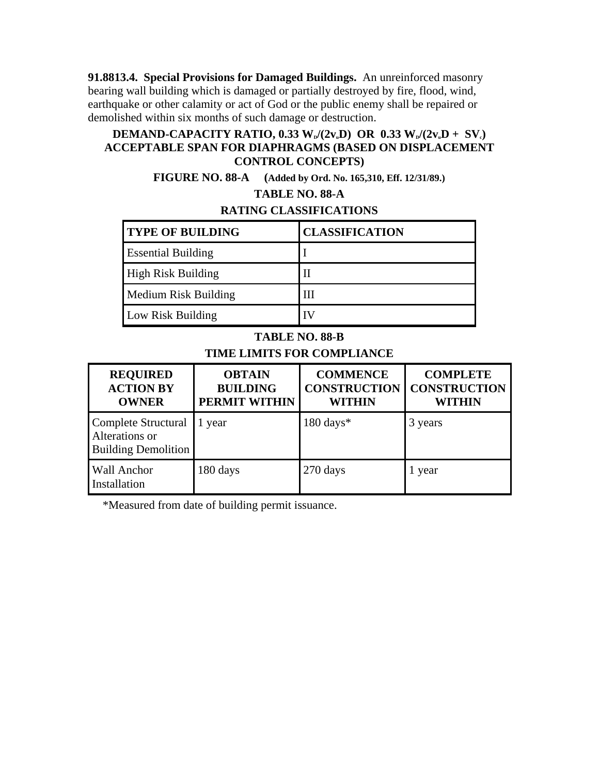**91.8813.4. Special Provisions for Damaged Buildings.** An unreinforced masonry bearing wall building which is damaged or partially destroyed by fire, flood, wind, earthquake or other calamity or act of God or the public enemy shall be repaired or demolished within six months of such damage or destruction.

### **DEMAND-CAPACITY RATIO, 0.33 W<sub>p</sub>/(2v<sub>u</sub>D) OR 0.33 W<sub>p</sub>/(2v<sub>u</sub>D + SV<sub>c</sub>) ACCEPTABLE SPAN FOR DIAPHRAGMS (BASED ON DISPLACEMENT CONTROL CONCEPTS)**

**FIGURE NO. 88-A (Added by Ord. No. 165,310, Eff. 12/31/89.)**

# **TABLE NO. 88-A**

# **RATING CLASSIFICATIONS**

| <b>TYPE OF BUILDING</b>     | <b>CLASSIFICATION</b> |
|-----------------------------|-----------------------|
| <b>Essential Building</b>   |                       |
| <b>High Risk Building</b>   |                       |
| <b>Medium Risk Building</b> | ПI                    |
| Low Risk Building           |                       |

# **TABLE NO. 88-B**

# **TIME LIMITS FOR COMPLIANCE**

| <b>REQUIRED</b><br><b>ACTION BY</b><br><b>OWNER</b>                 | <b>OBTAIN</b><br><b>BUILDING</b><br><b>PERMIT WITHIN</b> | <b>COMMENCE</b><br><b>CONSTRUCTION</b><br><b>WITHIN</b> | <b>COMPLETE</b><br><b>CONSTRUCTION</b><br><b>WITHIN</b> |
|---------------------------------------------------------------------|----------------------------------------------------------|---------------------------------------------------------|---------------------------------------------------------|
| Complete Structural<br>Alterations or<br><b>Building Demolition</b> | year                                                     | $180 \text{ days}$ *                                    | 3 years                                                 |
| <b>Wall Anchor</b><br>Installation                                  | 180 days                                                 | 270 days                                                | year                                                    |

\*Measured from date of building permit issuance.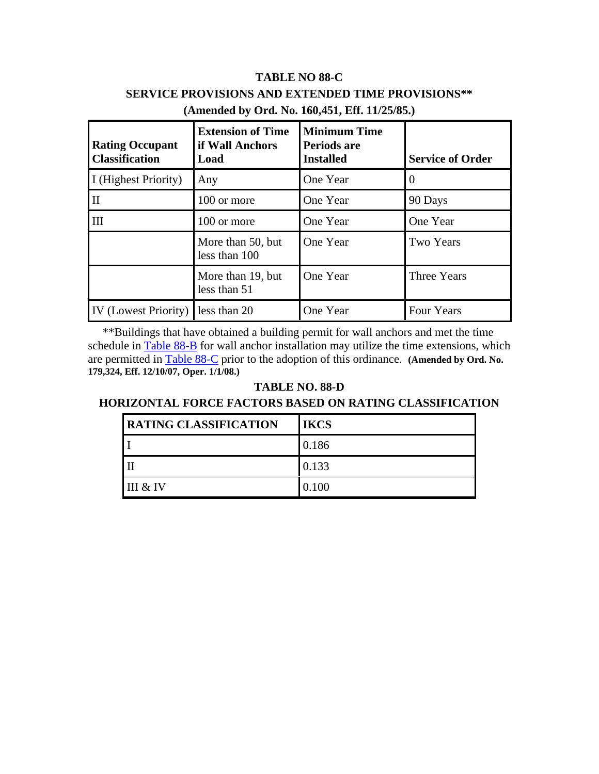# **TABLE NO 88-C SERVICE PROVISIONS AND EXTENDED TIME PROVISIONS\*\* (Amended by Ord. No. 160,451, Eff. 11/25/85.)**

| <b>Rating Occupant</b><br><b>Classification</b> | <b>Extension of Time</b><br>if Wall Anchors<br>Load | <b>Minimum Time</b><br>Periods are<br><b>Installed</b> | <b>Service of Order</b> |
|-------------------------------------------------|-----------------------------------------------------|--------------------------------------------------------|-------------------------|
| I (Highest Priority)                            | Any                                                 | One Year                                               |                         |
| $\mathbf{I}$                                    | 100 or more                                         | One Year                                               | 90 Days                 |
| III                                             | 100 or more                                         | One Year                                               | One Year                |
|                                                 | More than 50, but<br>less than 100                  | One Year                                               | <b>Two Years</b>        |
|                                                 | More than 19, but<br>less than 51                   | One Year                                               | Three Years             |
| IV (Lowest Priority)                            | less than 20                                        | One Year                                               | Four Years              |

 \*\*Buildings that have obtained a building permit for wall anchors and met the time schedule in Table 88-B for wall anchor installation may utilize the time extensions, which are permitted in Table 88-C prior to the adoption of this ordinance. **(Amended by Ord. No. 179,324, Eff. 12/10/07, Oper. 1/1/08.)**

### **TABLE NO. 88-D**

# **HORIZONTAL FORCE FACTORS BASED ON RATING CLASSIFICATION**

| <b>RATING CLASSIFICATION</b> | <b>IKCS</b> |
|------------------------------|-------------|
|                              | 0.186       |
|                              | 0.133       |
| III & IV                     | 0.100       |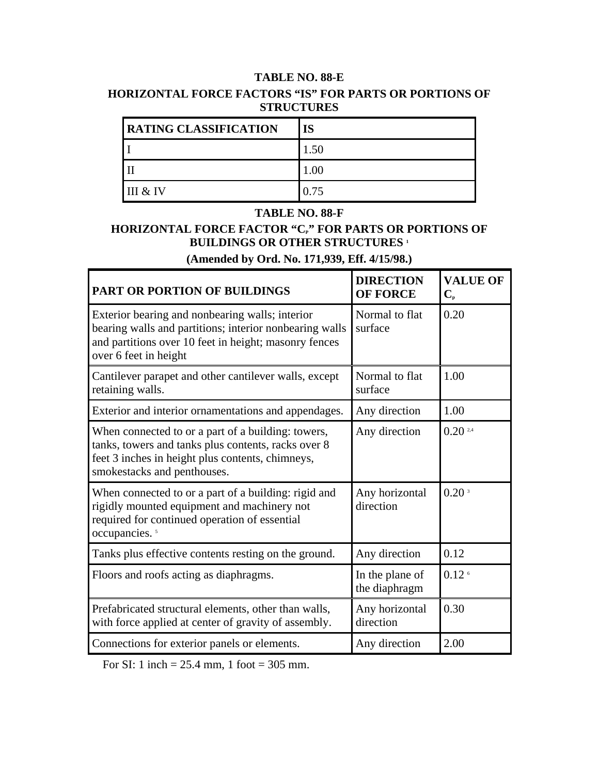# **TABLE NO. 88-E HORIZONTAL FORCE FACTORS "IS" FOR PARTS OR PORTIONS OF STRUCTURES**

| <b>RATING CLASSIFICATION</b> | <b>IS</b> |
|------------------------------|-----------|
|                              | 1.50      |
|                              | 1.00      |
| III & IV                     | 0.75      |

#### **TABLE NO. 88-F**

# **HORIZONTAL FORCE FACTOR "CP" FOR PARTS OR PORTIONS OF BUILDINGS OR OTHER STRUCTURES 1**

# **(Amended by Ord. No. 171,939, Eff. 4/15/98.)**

ă.

| PART OR PORTION OF BUILDINGS                                                                                                                                                                 | <b>DIRECTION</b><br><b>OF FORCE</b> | <b>VALUE OF</b><br>$\mathbf{C}_{\scriptscriptstyle{\mathrm{D}}}$ |
|----------------------------------------------------------------------------------------------------------------------------------------------------------------------------------------------|-------------------------------------|------------------------------------------------------------------|
| Exterior bearing and nonbearing walls; interior<br>bearing walls and partitions; interior nonbearing walls<br>and partitions over 10 feet in height; masonry fences<br>over 6 feet in height | Normal to flat<br>surface           | 0.20                                                             |
| Cantilever parapet and other cantilever walls, except<br>retaining walls.                                                                                                                    | Normal to flat<br>surface           | 1.00                                                             |
| Exterior and interior ornamentations and appendages.                                                                                                                                         | Any direction                       | 1.00                                                             |
| When connected to or a part of a building: towers,<br>tanks, towers and tanks plus contents, racks over 8<br>feet 3 inches in height plus contents, chimneys,<br>smokestacks and penthouses. | Any direction                       | $0.20$ $2.4$                                                     |
| When connected to or a part of a building: rigid and<br>rigidly mounted equipment and machinery not<br>required for continued operation of essential<br>occupancies. <sup>5</sup>            | Any horizontal<br>direction         | 0.20 <sup>3</sup>                                                |
| Tanks plus effective contents resting on the ground.                                                                                                                                         | Any direction                       | 0.12                                                             |
| Floors and roofs acting as diaphragms.                                                                                                                                                       | In the plane of<br>the diaphragm    | 0.12 <sup>6</sup>                                                |
| Prefabricated structural elements, other than walls,<br>with force applied at center of gravity of assembly.                                                                                 | Any horizontal<br>direction         | 0.30                                                             |
| Connections for exterior panels or elements.                                                                                                                                                 | Any direction                       | 2.00                                                             |

For SI: 1 inch = 25.4 mm, 1 foot = 305 mm.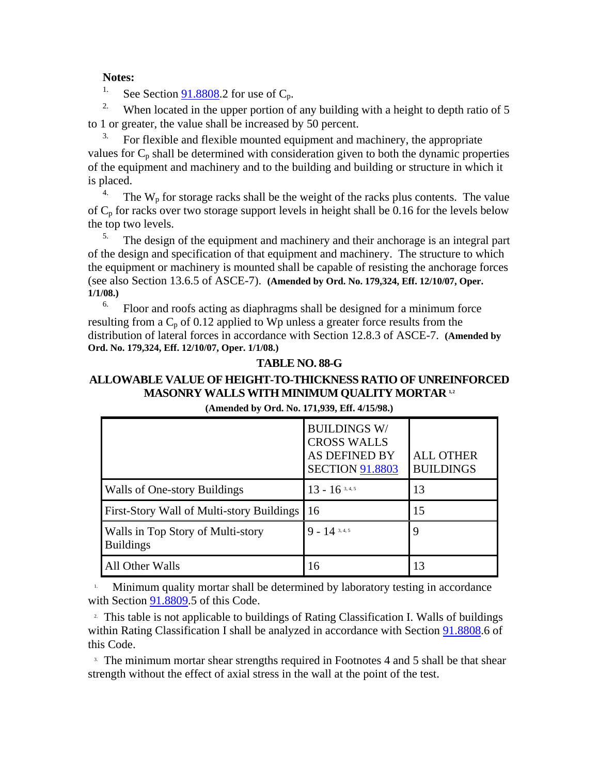#### **Notes:**

<sup>1.</sup> See Section 91.8808.2 for use of  $C_p$ .

<sup>2.</sup> When located in the upper portion of any building with a height to depth ratio of 5 to 1 or greater, the value shall be increased by 50 percent.

 $3.$  For flexible and flexible mounted equipment and machinery, the appropriate values for  $C_p$  shall be determined with consideration given to both the dynamic properties of the equipment and machinery and to the building and building or structure in which it is placed.

<sup>4.</sup> The  $W_p$  for storage racks shall be the weight of the racks plus contents. The value of  $C_p$  for racks over two storage support levels in height shall be 0.16 for the levels below the top two levels.

 $5.$  The design of the equipment and machinery and their anchorage is an integral part of the design and specification of that equipment and machinery. The structure to which the equipment or machinery is mounted shall be capable of resisting the anchorage forces (see also Section 13.6.5 of ASCE-7). **(Amended by Ord. No. 179,324, Eff. 12/10/07, Oper. 1/1/08.)**

Floor and roofs acting as diaphragms shall be designed for a minimum force resulting from a  $C_p$  of 0.12 applied to Wp unless a greater force results from the distribution of lateral forces in accordance with Section 12.8.3 of ASCE-7. **(Amended by Ord. No. 179,324, Eff. 12/10/07, Oper. 1/1/08.)**

#### **TABLE NO. 88-G**

# **ALLOWABLE VALUE OF HEIGHT-TO-THICKNESS RATIO OF UNREINFORCED MASONRY WALLS WITH MINIMUM QUALITY MORTAR 1.2**

|                                                       | <b>BUILDINGS W/</b><br><b>CROSS WALLS</b><br><b>AS DEFINED BY</b><br><b>SECTION 91.8803</b> | <b>ALL OTHER</b><br><b>BUILDINGS</b> |
|-------------------------------------------------------|---------------------------------------------------------------------------------------------|--------------------------------------|
| Walls of One-story Buildings                          | $13 - 16^{3,4,5}$                                                                           | 13                                   |
| <b>First-Story Wall of Multi-story Buildings</b>      | 16                                                                                          | 15                                   |
| Walls in Top Story of Multi-story<br><b>Buildings</b> | $9 - 14$ 3, 4, 5                                                                            |                                      |
| All Other Walls                                       | 16                                                                                          | 13                                   |

**(Amended by Ord. No. 171,939, Eff. 4/15/98.)**

Minimum quality mortar shall be determined by laboratory testing in accordance with Section 91.8809.5 of this Code.

<sup>2</sup> This table is not applicable to buildings of Rating Classification I. Walls of buildings within Rating Classification I shall be analyzed in accordance with Section 91.8808.6 of this Code.

<sup>3.</sup> The minimum mortar shear strengths required in Footnotes 4 and 5 shall be that shear strength without the effect of axial stress in the wall at the point of the test.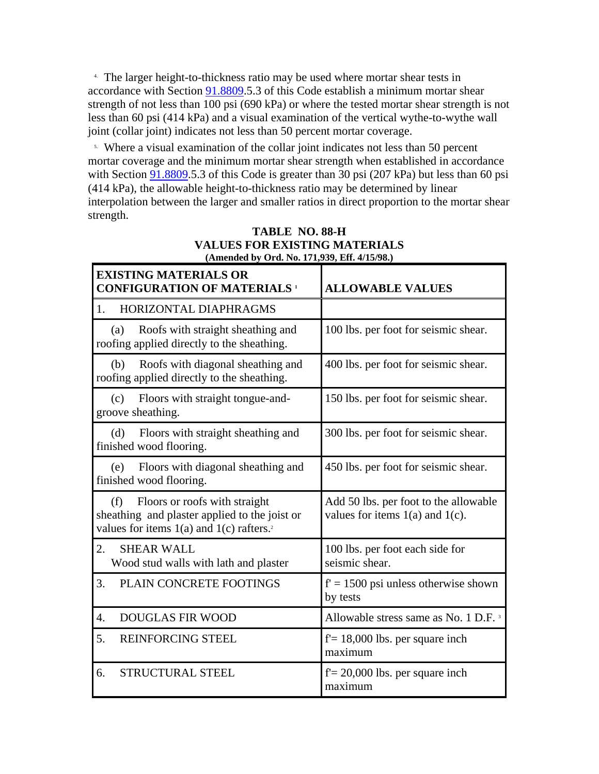4. The larger height-to-thickness ratio may be used where mortar shear tests in accordance with Section 91.8809.5.3 of this Code establish a minimum mortar shear strength of not less than 100 psi (690 kPa) or where the tested mortar shear strength is not less than 60 psi (414 kPa) and a visual examination of the vertical wythe-to-wythe wall joint (collar joint) indicates not less than 50 percent mortar coverage.

 5. Where a visual examination of the collar joint indicates not less than 50 percent mortar coverage and the minimum mortar shear strength when established in accordance with Section 91.8809.5.3 of this Code is greater than 30 psi (207 kPa) but less than 60 psi (414 kPa), the allowable height-to-thickness ratio may be determined by linear interpolation between the larger and smaller ratios in direct proportion to the mortar shear strength.

| <b>EXISTING MATERIALS OR</b><br><b>CONFIGURATION OF MATERIALS 1</b>                                                                               | <b>ALLOWABLE VALUES</b>                                                       |
|---------------------------------------------------------------------------------------------------------------------------------------------------|-------------------------------------------------------------------------------|
| HORIZONTAL DIAPHRAGMS<br>1.                                                                                                                       |                                                                               |
| Roofs with straight sheathing and<br>(a)<br>roofing applied directly to the sheathing.                                                            | 100 lbs. per foot for seismic shear.                                          |
| Roofs with diagonal sheathing and<br>(b)<br>roofing applied directly to the sheathing.                                                            | 400 lbs. per foot for seismic shear.                                          |
| Floors with straight tongue-and-<br>(c)<br>groove sheathing.                                                                                      | 150 lbs. per foot for seismic shear.                                          |
| Floors with straight sheathing and<br>(d)<br>finished wood flooring.                                                                              | 300 lbs. per foot for seismic shear.                                          |
| Floors with diagonal sheathing and<br>(e)<br>finished wood flooring.                                                                              | 450 lbs. per foot for seismic shear.                                          |
| Floors or roofs with straight<br>(f)<br>sheathing and plaster applied to the joist or<br>values for items $1(a)$ and $1(c)$ rafters. <sup>2</sup> | Add 50 lbs. per foot to the allowable<br>values for items $1(a)$ and $1(c)$ . |
| 2.<br><b>SHEAR WALL</b><br>Wood stud walls with lath and plaster                                                                                  | 100 lbs. per foot each side for<br>seismic shear.                             |
| 3.<br>PLAIN CONCRETE FOOTINGS                                                                                                                     | $f' = 1500$ psi unless otherwise shown<br>by tests                            |
| <b>DOUGLAS FIR WOOD</b><br>$\overline{4}$ .                                                                                                       | Allowable stress same as No. 1 D.F. <sup>3</sup>                              |
| 5.<br><b>REINFORCING STEEL</b>                                                                                                                    | $f = 18,000$ lbs. per square inch<br>maximum                                  |
| <b>STRUCTURAL STEEL</b><br>6.                                                                                                                     | $f = 20,000$ lbs. per square inch<br>maximum                                  |

#### **TABLE NO. 88-H VALUES FOR EXISTING MATERIALS (Amended by Ord. No. 171,939, Eff. 4/15/98.)**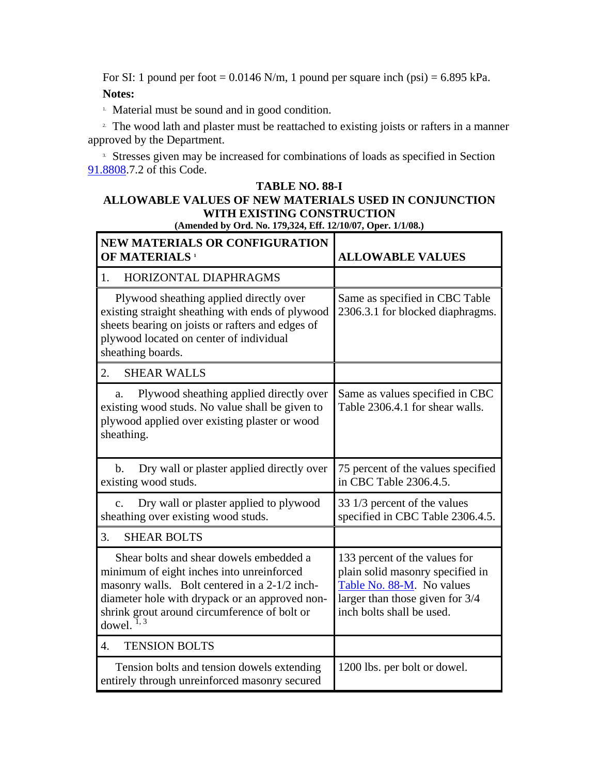For SI: 1 pound per foot =  $0.0146$  N/m, 1 pound per square inch (psi) =  $6.895$  kPa. **Notes:**

<sup>1.</sup> Material must be sound and in good condition.

<sup>2</sup>. The wood lath and plaster must be reattached to existing joists or rafters in a manner approved by the Department.

<sup>3.</sup> Stresses given may be increased for combinations of loads as specified in Section 91.8808.7.2 of this Code.

#### **TABLE NO. 88-I ALLOWABLE VALUES OF NEW MATERIALS USED IN CONJUNCTION WITH EXISTING CONSTRUCTION (Amended by Ord. No. 179,324, Eff. 12/10/07, Oper. 1/1/08.)**

| <b>NEW MATERIALS OR CONFIGURATION</b><br>OF MATERIALS <sup>1</sup>                                                                                                                                                                                       | <b>ALLOWABLE VALUES</b>                                                                                                                                        |
|----------------------------------------------------------------------------------------------------------------------------------------------------------------------------------------------------------------------------------------------------------|----------------------------------------------------------------------------------------------------------------------------------------------------------------|
| HORIZONTAL DIAPHRAGMS<br>1.                                                                                                                                                                                                                              |                                                                                                                                                                |
| Plywood sheathing applied directly over<br>existing straight sheathing with ends of plywood<br>sheets bearing on joists or rafters and edges of<br>plywood located on center of individual<br>sheathing boards.                                          | Same as specified in CBC Table<br>2306.3.1 for blocked diaphragms.                                                                                             |
| 2.<br><b>SHEAR WALLS</b>                                                                                                                                                                                                                                 |                                                                                                                                                                |
| Plywood sheathing applied directly over<br>a.<br>existing wood studs. No value shall be given to<br>plywood applied over existing plaster or wood<br>sheathing.                                                                                          | Same as values specified in CBC<br>Table 2306.4.1 for shear walls.                                                                                             |
| Dry wall or plaster applied directly over<br>b.<br>existing wood studs.                                                                                                                                                                                  | 75 percent of the values specified<br>in CBC Table 2306.4.5.                                                                                                   |
| Dry wall or plaster applied to plywood<br>c.<br>sheathing over existing wood studs.                                                                                                                                                                      | 33 1/3 percent of the values<br>specified in CBC Table 2306.4.5.                                                                                               |
| 3.<br><b>SHEAR BOLTS</b>                                                                                                                                                                                                                                 |                                                                                                                                                                |
| Shear bolts and shear dowels embedded a<br>minimum of eight inches into unreinforced<br>masonry walls. Bolt centered in a 2-1/2 inch-<br>diameter hole with drypack or an approved non-<br>shrink grout around circumference of bolt or<br>dowel. $1, 3$ | 133 percent of the values for<br>plain solid masonry specified in<br>Table No. 88-M. No values<br>larger than those given for 3/4<br>inch bolts shall be used. |
| <b>TENSION BOLTS</b><br>$\overline{4}$ .                                                                                                                                                                                                                 |                                                                                                                                                                |
| Tension bolts and tension dowels extending<br>entirely through unreinforced masonry secured                                                                                                                                                              | 1200 lbs. per bolt or dowel.                                                                                                                                   |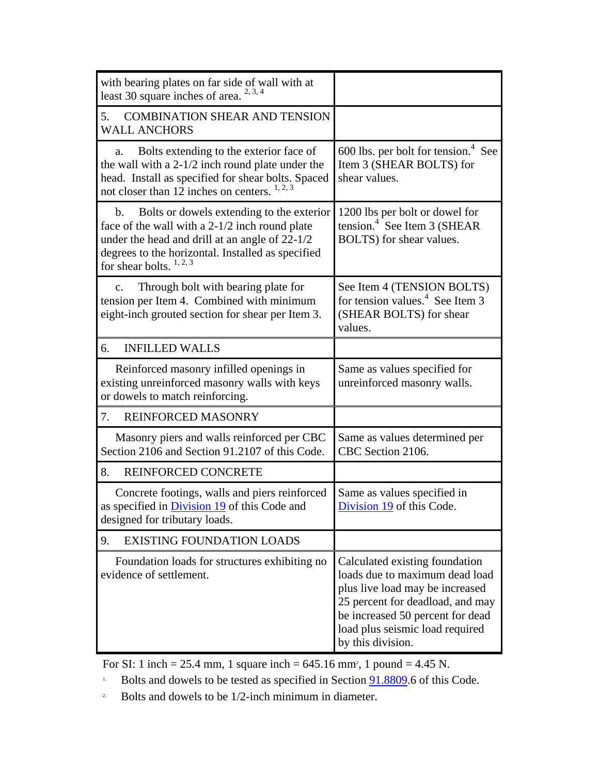| with bearing plates on far side of wall with at<br>least 30 square inches of area. $2, 3, 4$                                                                                                                                                       |                                                                                                                                                                                                                                     |
|----------------------------------------------------------------------------------------------------------------------------------------------------------------------------------------------------------------------------------------------------|-------------------------------------------------------------------------------------------------------------------------------------------------------------------------------------------------------------------------------------|
| <b>COMBINATION SHEAR AND TENSION</b><br>5.<br><b>WALL ANCHORS</b>                                                                                                                                                                                  |                                                                                                                                                                                                                                     |
| Bolts extending to the exterior face of<br>a.<br>the wall with a $2-1/2$ inch round plate under the<br>head. Install as specified for shear bolts. Spaced<br>not closer than 12 inches on centers. $1, 2, 3$                                       | 600 lbs. per bolt for tension. $4$ See<br>Item 3 (SHEAR BOLTS) for<br>shear values.                                                                                                                                                 |
| Bolts or dowels extending to the exterior<br>$\mathbf{b}$ .<br>face of the wall with a 2-1/2 inch round plate<br>under the head and drill at an angle of 22-1/2<br>degrees to the horizontal. Installed as specified<br>for shear bolts. $1, 2, 3$ | 1200 lbs per bolt or dowel for<br>tension. <sup>4</sup> See Item 3 (SHEAR<br>BOLTS) for shear values.                                                                                                                               |
| Through bolt with bearing plate for<br>$\mathbf{c}$ .<br>tension per Item 4. Combined with minimum<br>eight-inch grouted section for shear per Item 3.                                                                                             | See Item 4 (TENSION BOLTS)<br>for tension values. <sup>4</sup> See Item 3<br>(SHEAR BOLTS) for shear<br>values.                                                                                                                     |
| <b>INFILLED WALLS</b><br>6.                                                                                                                                                                                                                        |                                                                                                                                                                                                                                     |
| Reinforced masonry infilled openings in<br>existing unreinforced masonry walls with keys<br>or dowels to match reinforcing.                                                                                                                        | Same as values specified for<br>unreinforced masonry walls.                                                                                                                                                                         |
| REINFORCED MASONRY<br>7.                                                                                                                                                                                                                           |                                                                                                                                                                                                                                     |
| Masonry piers and walls reinforced per CBC<br>Section 2106 and Section 91.2107 of this Code.                                                                                                                                                       | Same as values determined per<br>CBC Section 2106.                                                                                                                                                                                  |
| REINFORCED CONCRETE<br>8.                                                                                                                                                                                                                          |                                                                                                                                                                                                                                     |
| Concrete footings, walls and piers reinforced<br>as specified in <b>Division 19</b> of this Code and<br>designed for tributary loads.                                                                                                              | Same as values specified in<br>Division 19 of this Code                                                                                                                                                                             |
| 9.<br><b>EXISTING FOUNDATION LOADS</b>                                                                                                                                                                                                             |                                                                                                                                                                                                                                     |
| Foundation loads for structures exhibiting no<br>evidence of settlement.                                                                                                                                                                           | Calculated existing foundation<br>loads due to maximum dead load<br>plus live load may be increased<br>25 percent for deadload, and may<br>be increased 50 percent for dead<br>load plus seismic load required<br>by this division. |

For SI: 1 inch = 25.4 mm, 1 square inch =  $645.16$  mm<sup>2</sup>, 1 pound = 4.45 N.

- <sup>1.</sup> Bolts and dowels to be tested as specified in Section  $91.8809$ .6 of this Code.
- <sup>2</sup> Bolts and dowels to be  $1/2$ -inch minimum in diameter.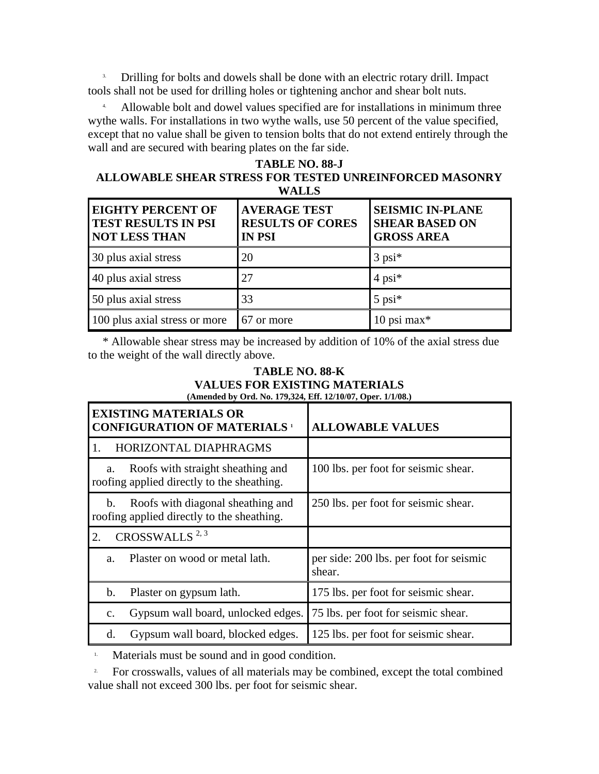3. Drilling for bolts and dowels shall be done with an electric rotary drill. Impact tools shall not be used for drilling holes or tightening anchor and shear bolt nuts.

 4. Allowable bolt and dowel values specified are for installations in minimum three wythe walls. For installations in two wythe walls, use 50 percent of the value specified, except that no value shall be given to tension bolts that do not extend entirely through the wall and are secured with bearing plates on the far side.

# **TABLE NO. 88-J**

#### **ALLOWABLE SHEAR STRESS FOR TESTED UNREINFORCED MASONRY WALLS**

| <b>EIGHTY PERCENT OF</b><br><b>TEST RESULTS IN PSI</b><br><b>NOT LESS THAN</b> | <b>AVERAGE TEST</b><br><b>RESULTS OF CORES</b><br><b>IN PSI</b> | <b>SEISMIC IN-PLANE</b><br><b>SHEAR BASED ON</b><br><b>GROSS AREA</b> |
|--------------------------------------------------------------------------------|-----------------------------------------------------------------|-----------------------------------------------------------------------|
| 30 plus axial stress                                                           | 20                                                              | $3$ psi $*$                                                           |
| 40 plus axial stress                                                           | 27                                                              | $4$ psi <sup>*</sup>                                                  |
| 50 plus axial stress                                                           | 33                                                              | $5$ psi $*$                                                           |
| 100 plus axial stress or more                                                  | 67 or more                                                      | 10 psi max $*$                                                        |

 \* Allowable shear stress may be increased by addition of 10% of the axial stress due to the weight of the wall directly above.

#### **TABLE NO. 88-K VALUES FOR EXISTING MATERIALS (Amended by Ord. No. 179,324, Eff. 12/10/07, Oper. 1/1/08.)**

| <b>EXISTING MATERIALS OR</b><br><b>CONFIGURATION OF MATERIALS 1</b>                   | <b>ALLOWABLE VALUES</b>                           |
|---------------------------------------------------------------------------------------|---------------------------------------------------|
| HORIZONTAL DIAPHRAGMS<br>1.                                                           |                                                   |
| Roofs with straight sheathing and<br>a.<br>roofing applied directly to the sheathing. | 100 lbs. per foot for seismic shear.              |
| Roofs with diagonal sheathing and<br>b.<br>roofing applied directly to the sheathing. | 250 lbs. per foot for seismic shear.              |
| CROSSWALLS <sup>2,3</sup><br>2.                                                       |                                                   |
| Plaster on wood or metal lath.<br>a <sub>1</sub>                                      | per side: 200 lbs. per foot for seismic<br>shear. |
| b.<br>Plaster on gypsum lath.                                                         | 175 lbs. per foot for seismic shear.              |
| Gypsum wall board, unlocked edges.<br>$\mathbf{C}$ .                                  | 75 lbs. per foot for seismic shear.               |
| Gypsum wall board, blocked edges.<br>d.                                               | 125 lbs. per foot for seismic shear.              |

<sup>1.</sup> Materials must be sound and in good condition.

<sup>2</sup> For crosswalls, values of all materials may be combined, except the total combined value shall not exceed 300 lbs. per foot for seismic shear.